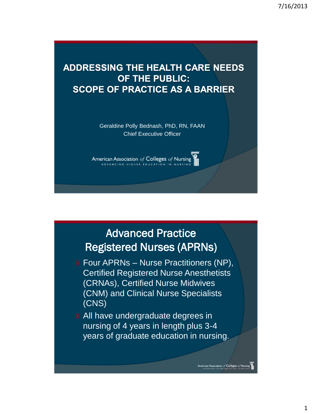#### **ADDRESSING THE HEALTH CARE NEEDS OF THE PUBLIC: SCOPE OF PRACTICE AS A BARRIER**

Geraldine Polly Bednash, PhD, RN, FAAN Chief Executive Officer

American Association of Colleges of Nursing ADVANCING HIGHER EDUCATION

# Advanced Practice Registered Nurses (APRNs)

- Four APRNs Nurse Practitioners (NP), Certified Registered Nurse Anesthetists (CRNAs), Certified Nurse Midwives (CNM) and Clinical Nurse Specialists (CNS)
- All have undergraduate degrees in nursing of 4 years in length plus 3-4 years of graduate education in nursing.

American Association of Colleges of Nursing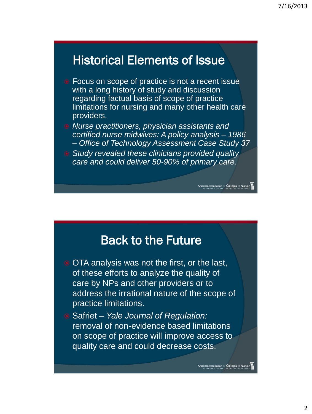# Historical Elements of Issue

- Focus on scope of practice is not a recent issue with a long history of study and discussion regarding factual basis of scope of practice limitations for nursing and many other health care providers.
- *Nurse practitioners, physician assistants and certified nurse midwives: A policy analysis – 1986 – Office of Technology Assessment Case Study 37*

Association of Colleges of Nursin

American Association of Colleges of Nursing

 *Study revealed these clinicians provided quality care and could deliver 50-90% of primary care.*

#### Back to the Future

- OTA analysis was not the first, or the last, of these efforts to analyze the quality of care by NPs and other providers or to address the irrational nature of the scope of practice limitations.
- Safriet *Yale Journal of Regulation:*  removal of non-evidence based limitations on scope of practice will improve access to quality care and could decrease costs.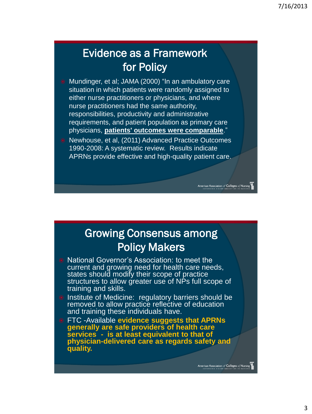# Evidence as a Framework for Policy

- Mundinger, et al; JAMA (2000) "In an ambulatory care situation in which patients were randomly assigned to either nurse practitioners or physicians, and where nurse practitioners had the same authority, responsibilities, productivity and administrative requirements, and patient population as primary care physicians, **patients' outcomes were comparable**."
- Newhouse, et al, (2011) Advanced Practice Outcomes 1990-2008: A systematic review. Results indicate APRNs provide effective and high-quality patient care.

# Growing Consensus among Policy Makers

an Association of Colleges of Nursir

American Association of Colleges of Nursing

- National Governor's Association: to meet the current and growing need for health care needs, states should modify their scope of practice structures to allow greater use of NPs full scope of training and skills.
- Institute of Medicine: regulatory barriers should be removed to allow practice reflective of education and training these individuals have.
- FTC -Available **evidence suggests that APRNs generally are safe providers of health care services - is at least equivalent to that of physician-delivered care as regards safety and quality.**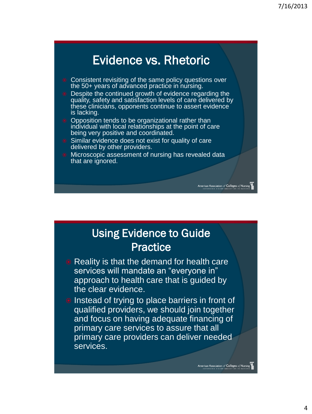# Evidence vs. Rhetoric

- Consistent revisiting of the same policy questions over the 50+ years of advanced practice in nursing.
- **•** Despite the continued growth of evidence regarding the quality, safety and satisfaction levels of care delivered by these clinicians, opponents continue to assert evidence is lacking.
- Opposition tends to be organizational rather than individual with local relationships at the point of care being very positive and coordinated.
- Similar evidence does not exist for quality of care delivered by other providers.
- Microscopic assessment of nursing has revealed data that are ignored.

# Using Evidence to Guide **Practice**

ican Association of Colleges of Nursin<br>DYANGING HIGHER EDUCATION IN NURSIN

American Association of Colleges of Nursing

- Reality is that the demand for health care services will mandate an "everyone in" approach to health care that is guided by the clear evidence.
- Instead of trying to place barriers in front of qualified providers, we should join together and focus on having adequate financing of primary care services to assure that all primary care providers can deliver needed services.

4